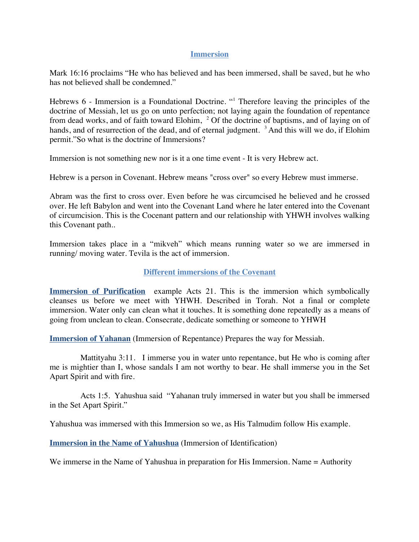#### **Immersion**

Mark 16:16 proclaims "He who has believed and has been immersed, shall be saved, but he who has not believed shall be condemned."

Hebrews 6 - Immersion is a Foundational Doctrine. "1 Therefore leaving the principles of the doctrine of Messiah, let us go on unto perfection; not laying again the foundation of repentance from dead works, and of faith toward Elohim, <sup>2</sup> Of the doctrine of baptisms, and of laying on of hands, and of resurrection of the dead, and of eternal judgment. <sup>3</sup> And this will we do, if Elohim permit."So what is the doctrine of Immersions?

Immersion is not something new nor is it a one time event - It is very Hebrew act.

Hebrew is a person in Covenant. Hebrew means "cross over" so every Hebrew must immerse.

Abram was the first to cross over. Even before he was circumcised he believed and he crossed over. He left Babylon and went into the Covenant Land where he later entered into the Covenant of circumcision. This is the Cocenant pattern and our relationship with YHWH involves walking this Covenant path..

Immersion takes place in a "mikveh" which means running water so we are immersed in running/ moving water. Tevila is the act of immersion.

#### **Different immersions of the Covenant**

**Immersion of Purification** example Acts 21. This is the immersion which symbolically cleanses us before we meet with YHWH. Described in Torah. Not a final or complete immersion. Water only can clean what it touches. It is something done repeatedly as a means of going from unclean to clean. Consecrate, dedicate something or someone to YHWH

**Immersion of Yahanan** (Immersion of Repentance) Prepares the way for Messiah.

 Mattityahu 3:11. I immerse you in water unto repentance, but He who is coming after me is mightier than I, whose sandals I am not worthy to bear. He shall immerse you in the Set Apart Spirit and with fire.

 Acts 1:5. Yahushua said "Yahanan truly immersed in water but you shall be immersed in the Set Apart Spirit."

Yahushua was immersed with this Immersion so we, as His Talmudim follow His example.

**Immersion in the Name of Yahushua** (Immersion of Identification)

We immerse in the Name of Yahushua in preparation for His Immersion. Name = Authority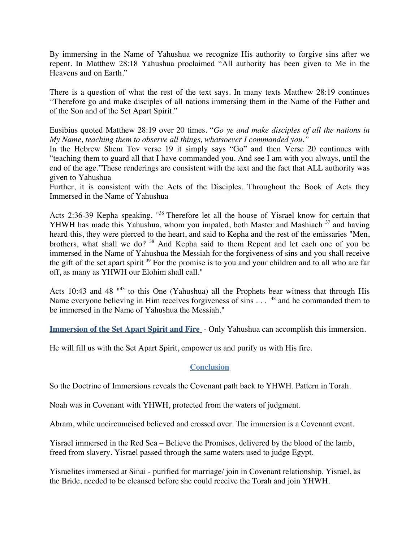By immersing in the Name of Yahushua we recognize His authority to forgive sins after we repent. In Matthew 28:18 Yahushua proclaimed "All authority has been given to Me in the Heavens and on Earth."

There is a question of what the rest of the text says. In many texts Matthew 28:19 continues "Therefore go and make disciples of all nations immersing them in the Name of the Father and of the Son and of the Set Apart Spirit."

Eusibius quoted Matthew 28:19 over 20 times. "*Go ye and make disciples of all the nations in My Name, teaching them to observe all things, whatsoever I commanded you*.*"*

In the Hebrew Shem Tov verse 19 it simply says "Go" and then Verse 20 continues with "teaching them to guard all that I have commanded you. And see I am with you always, until the end of the age."These renderings are consistent with the text and the fact that ALL authority was given to Yahushua

Further, it is consistent with the Acts of the Disciples. Throughout the Book of Acts they Immersed in the Name of Yahushua

Acts 2:36-39 Kepha speaking. "<sup>36</sup> Therefore let all the house of Yisrael know for certain that YHWH has made this Yahushua, whom you impaled, both Master and Mashiach <sup>37</sup> and having heard this, they were pierced to the heart, and said to Kepha and the rest of the emissaries "Men, brothers, what shall we do? <sup>38</sup> And Kepha said to them Repent and let each one of you be immersed in the Name of Yahushua the Messiah for the forgiveness of sins and you shall receive the gift of the set apart spirit <sup>39</sup> For the promise is to you and your children and to all who are far off, as many as YHWH our Elohim shall call."

Acts 10:43 and 48<sup> $n43$ </sup> to this One (Yahushua) all the Prophets bear witness that through His Name everyone believing in Him receives forgiveness of sins . . . <sup>48</sup> and he commanded them to be immersed in the Name of Yahushua the Messiah."

**Immersion of the Set Apart Spirit and Fire** - Only Yahushua can accomplish this immersion.

He will fill us with the Set Apart Spirit, empower us and purify us with His fire.

# **Conclusion**

So the Doctrine of Immersions reveals the Covenant path back to YHWH. Pattern in Torah.

Noah was in Covenant with YHWH, protected from the waters of judgment.

Abram, while uncircumcised believed and crossed over. The immersion is a Covenant event.

Yisrael immersed in the Red Sea – Believe the Promises, delivered by the blood of the lamb, freed from slavery. Yisrael passed through the same waters used to judge Egypt.

Yisraelites immersed at Sinai - purified for marriage/ join in Covenant relationship. Yisrael, as the Bride, needed to be cleansed before she could receive the Torah and join YHWH.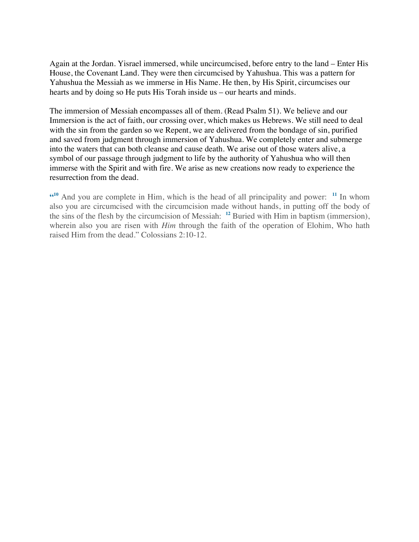Again at the Jordan. Yisrael immersed, while uncircumcised, before entry to the land – Enter His House, the Covenant Land. They were then circumcised by Yahushua. This was a pattern for Yahushua the Messiah as we immerse in His Name. He then, by His Spirit, circumcises our hearts and by doing so He puts His Torah inside us – our hearts and minds.

The immersion of Messiah encompasses all of them. (Read Psalm 51). We believe and our Immersion is the act of faith, our crossing over, which makes us Hebrews. We still need to deal with the sin from the garden so we Repent, we are delivered from the bondage of sin, purified and saved from judgment through immersion of Yahushua. We completely enter and submerge into the waters that can both cleanse and cause death. We arise out of those waters alive, a symbol of our passage through judgment to life by the authority of Yahushua who will then immerse with the Spirit and with fire. We arise as new creations now ready to experience the resurrection from the dead.

**"10** And you are complete in Him, which is the head of all principality and power: **<sup>11</sup>** In whom also you are circumcised with the circumcision made without hands, in putting off the body of the sins of the flesh by the circumcision of Messiah: **<sup>12</sup>** Buried with Him in baptism (immersion), wherein also you are risen with *Him* through the faith of the operation of Elohim, Who hath raised Him from the dead." Colossians 2:10-12.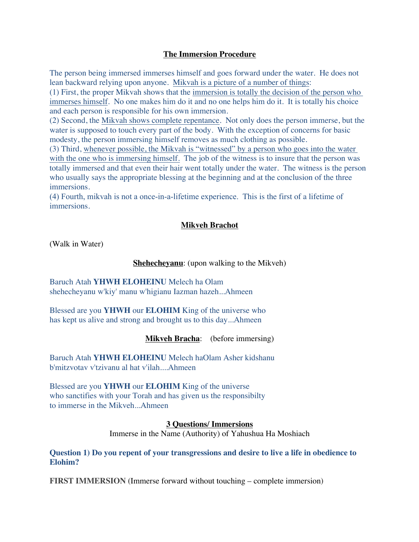## **The Immersion Procedure**

The person being immersed immerses himself and goes forward under the water. He does not lean backward relying upon anyone. Mikvah is a picture of a number of things:

(1) First, the proper Mikvah shows that the immersion is totally the decision of the person who immerses himself. No one makes him do it and no one helps him do it. It is totally his choice and each person is responsible for his own immersion.

(2) Second, the Mikvah shows complete repentance. Not only does the person immerse, but the water is supposed to touch every part of the body. With the exception of concerns for basic modesty, the person immersing himself removes as much clothing as possible.

(3) Third, whenever possible, the Mikvah is "witnessed" by a person who goes into the water with the one who is immersing himself. The job of the witness is to insure that the person was totally immersed and that even their hair went totally under the water. The witness is the person who usually says the appropriate blessing at the beginning and at the conclusion of the three immersions.

(4) Fourth, mikvah is not a once-in-a-lifetime experience. This is the first of a lifetime of immersions.

#### **Mikveh Brachot**

(Walk in Water)

#### **Shehecheyanu**: (upon walking to the Mikveh)

Baruch Atah **YHWH ELOHEINU** Melech ha Olam shehecheyanu w'kiy' manu w'higianu Iazman hazeh...Ahmeen

Blessed are you **YHWH** our **ELOHIM** King of the universe who has kept us alive and strong and brought us to this day...Ahmeen

#### **Mikveh Bracha**: (before immersing)

Baruch Atah **YHWH ELOHEINU** Melech haOlam Asher kidshanu b'mitzvotav v'tzivanu al hat v'ilah....Ahmeen

Blessed are you **YHWH** our **ELOHIM** King of the universe who sanctifies with your Torah and has given us the responsibilty to immerse in the Mikveh...Ahmeen

> **3 Questions/ Immersions** Immerse in the Name (Authority) of Yahushua Ha Moshiach

**Question 1) Do you repent of your transgressions and desire to live a life in obedience to Elohim?**

**FIRST IMMERSION (**Immerse forward without touching – complete immersion**)**